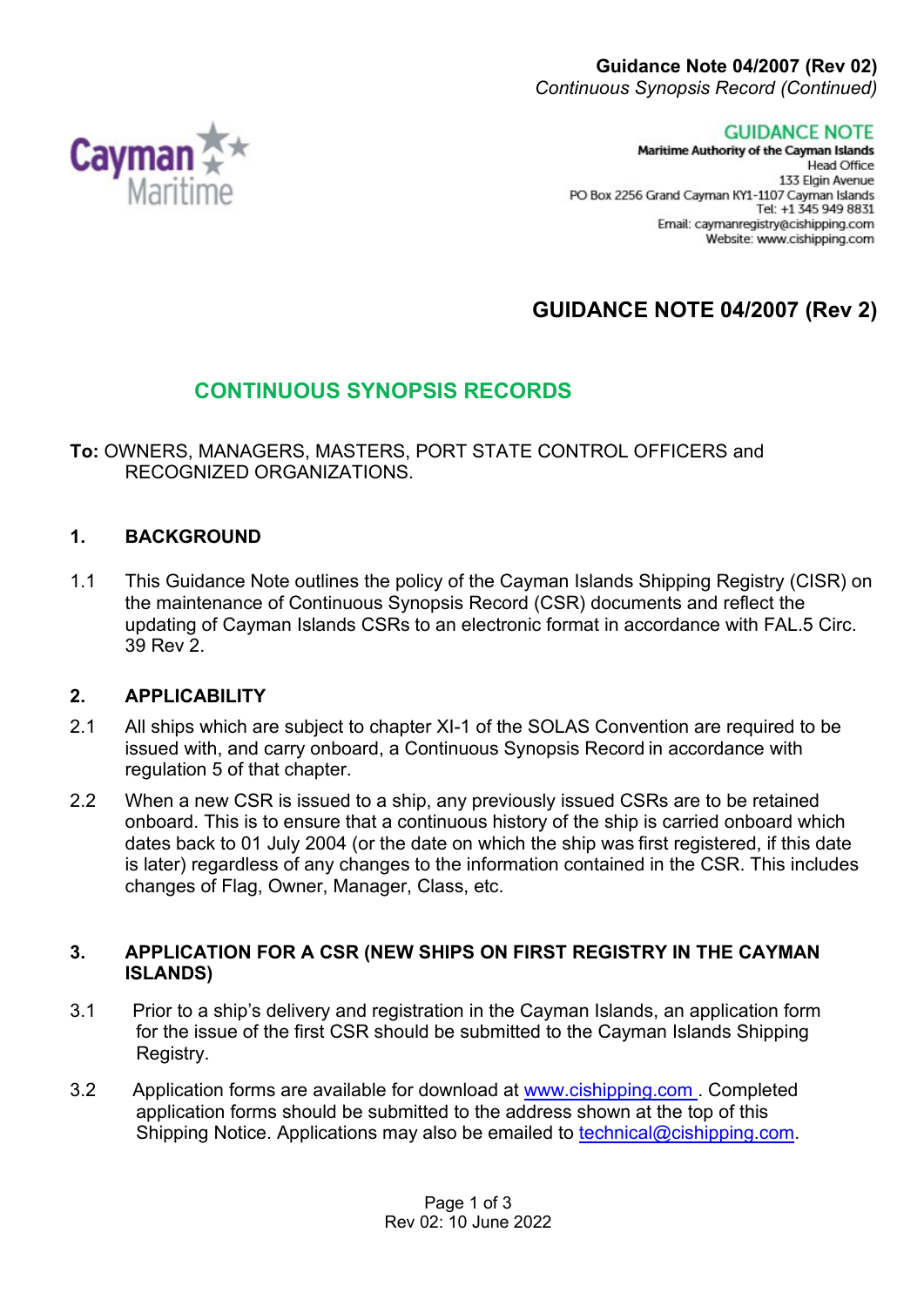**GUIDANCE NOTE** 

Maritime Authority of the Cayman Islands **Head Office** 133 Elgin Avenue PO Box 2256 Grand Cayman KY1-1107 Cayman Islands Tel: +1 345 949 8831 Email: caymanregistry@cishipping.com Website: www.cishipping.com

# **GUIDANCE NOTE 04/2007 (Rev 2)**

## **CONTINUOUS SYNOPSIS RECORDS**

**To:** OWNERS, MANAGERS, MASTERS, PORT STATE CONTROL OFFICERS and RECOGNIZED ORGANIZATIONS.

## **1. BACKGROUND**

1.1 This Guidance Note outlines the policy of the Cayman Islands Shipping Registry (CISR) on the maintenance of Continuous Synopsis Record (CSR) documents and reflect the updating of Cayman Islands CSRs to an electronic format in accordance with FAL.5 Circ. 39 Rev 2.

#### **2. APPLICABILITY**

- 2.1 All ships which are subject to chapter XI-1 of the SOLAS Convention are required to be issued with, and carry onboard, a Continuous Synopsis Record in accordance with regulation 5 of that chapter.
- 2.2 When a new CSR is issued to a ship, any previously issued CSRs are to be retained onboard. This is to ensure that a continuous history of the ship is carried onboard which dates back to 01 July 2004 (or the date on which the ship was first registered, if this date is later) regardless of any changes to the information contained in the CSR. This includes changes of Flag, Owner, Manager, Class, etc.

#### **3. APPLICATION FOR A CSR (NEW SHIPS ON FIRST REGISTRY IN THE CAYMAN ISLANDS)**

- 3.1 Prior to a ship's delivery and registration in the Cayman Islands, an application form for the issue of the first CSR should be submitted to the Cayman Islands Shipping Registry.
- 3.2 Application forms are available for download at [www.cishipping.com .](http://www.cishipping.com/) Completed application forms should be submitted to the address shown at the top of this Shipping Notice. Applications may also be emailed to [technical@cishipping.com.](mailto:technical@cishipping.com)

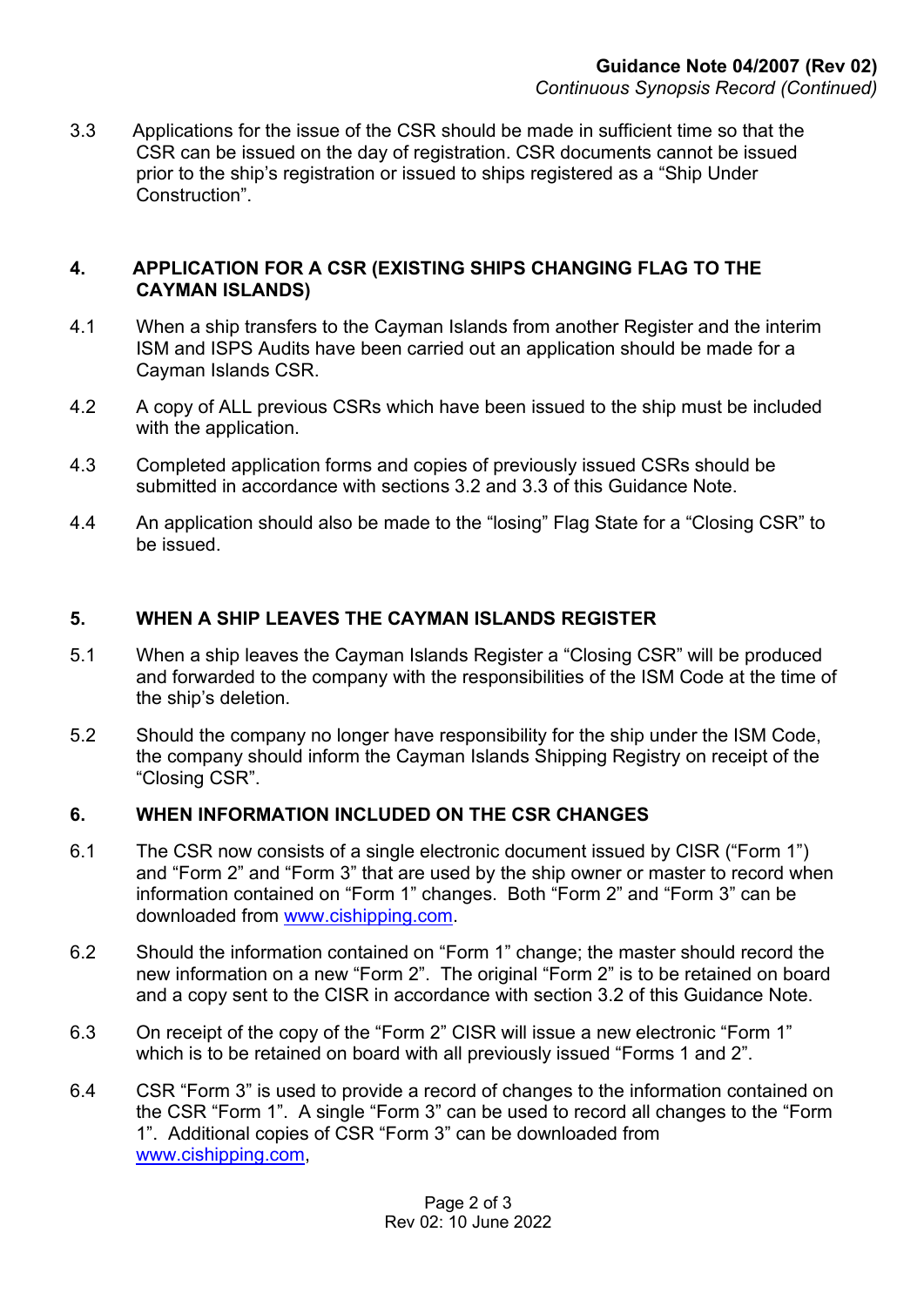3.3 Applications for the issue of the CSR should be made in sufficient time so that the CSR can be issued on the day of registration. CSR documents cannot be issued prior to the ship's registration or issued to ships registered as a "Ship Under Construction".

#### **4. APPLICATION FOR A CSR (EXISTING SHIPS CHANGING FLAG TO THE CAYMAN ISLANDS)**

- 4.1 When a ship transfers to the Cayman Islands from another Register and the interim ISM and ISPS Audits have been carried out an application should be made for a Cayman Islands CSR.
- 4.2 A copy of ALL previous CSRs which have been issued to the ship must be included with the application.
- 4.3 Completed application forms and copies of previously issued CSRs should be submitted in accordance with sections 3.2 and 3.3 of this Guidance Note.
- 4.4 An application should also be made to the "losing" Flag State for a "Closing CSR" to be issued.

### **5. WHEN A SHIP LEAVES THE CAYMAN ISLANDS REGISTER**

- 5.1 When a ship leaves the Cayman Islands Register a "Closing CSR" will be produced and forwarded to the company with the responsibilities of the ISM Code at the time of the ship's deletion.
- 5.2 Should the company no longer have responsibility for the ship under the ISM Code, the company should inform the Cayman Islands Shipping Registry on receipt of the "Closing CSR".

#### **6. WHEN INFORMATION INCLUDED ON THE CSR CHANGES**

- 6.1 The CSR now consists of a single electronic document issued by CISR ("Form 1") and "Form 2" and "Form 3" that are used by the ship owner or master to record when information contained on "Form 1" changes. Both "Form 2" and "Form 3" can be downloaded from [www.cishipping.com.](http://www.cishipping.com/)
- 6.2 Should the information contained on "Form 1" change; the master should record the new information on a new "Form 2". The original "Form 2" is to be retained on board and a copy sent to the CISR in accordance with section 3.2 of this Guidance Note.
- 6.3 On receipt of the copy of the "Form 2" CISR will issue a new electronic "Form 1" which is to be retained on board with all previously issued "Forms 1 and 2".
- 6.4 CSR "Form 3" is used to provide a record of changes to the information contained on the CSR "Form 1". A single "Form 3" can be used to record all changes to the "Form 1". Additional copies of CSR "Form 3" can be downloaded from [www.cishipping.com,](http://www.cishipping.com/)